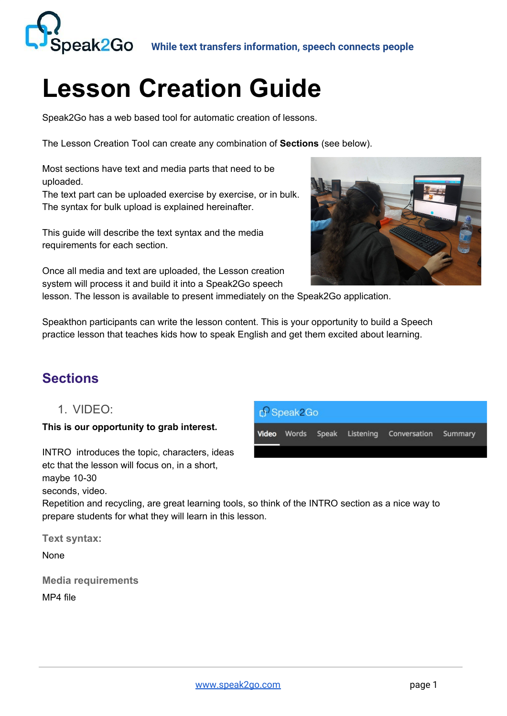

## **Lesson Creation Guide**

Speak2Go has a web based tool for automatic creation of lessons.

The Lesson Creation Tool can create any combination of **Sections** (see below).

Most sections have text and media parts that need to be uploaded.

The text part can be uploaded exercise by exercise, or in bulk. The syntax for bulk upload is explained hereinafter.

This guide will describe the text syntax and the media requirements for each section.

Once all media and text are uploaded, the Lesson creation system will process it and build it into a Speak2Go speech



lesson. The lesson is available to present immediately on the Speak2Go application.

Speakthon participants can write the lesson content. This is your opportunity to build a Speech practice lesson that teaches kids how to speak English and get them excited about learning.

## **Sections**

1. VIDEO:

**This is our opportunity to grab interest.**

INTRO introduces the topic, characters, ideas etc that the lesson will focus on, in a short, maybe 10-30 seconds, video.

Repetition and recycling, are great learning tools, so think of the INTRO section as a nice way to prepare students for what they will learn in this lesson.

**Text syntax:**

None

**Media requirements** MP4 file

| $\int$ Speak2Go |  |  |  |                                                  |  |
|-----------------|--|--|--|--------------------------------------------------|--|
|                 |  |  |  | Video Words Speak Listening Conversation Summary |  |
|                 |  |  |  |                                                  |  |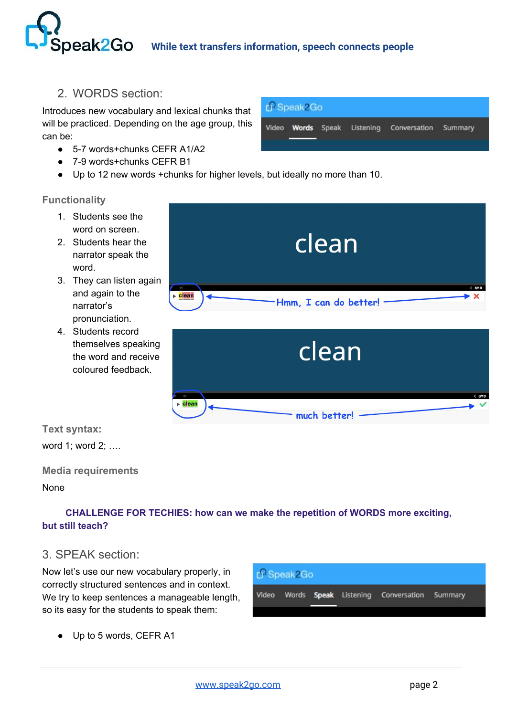## **peak2Go** While text transfers information, speech connects people

2. WORDS section:

Introduces new vocabulary and lexical chunks that will be practiced. Depending on the age group, this can be:

- 5-7 words+chunks CEFR A1/A2
- 7-9 words+chunks CEFR B1
- Up to 12 new words +chunks for higher levels, but ideally no more than 10.

#### **Functionality**

- 1. Students see the word on screen.
- 2. Students hear the narrator speak the word.
- 3. They can listen again and again to the narrator's pronunciation.
- 4. Students record themselves speaking the word and receive coloured feedback.

**Text syntax:**

word 1; word 2; ….

**Media requirements**

None

#### ✨**CHALLENGE FOR TECHIES: how can we make the repetition of WORDS more exciting, but still teach?**

#### 3. SPEAK section:

Now let's use our new vocabulary properly, in correctly structured sentences and in context. We try to keep sentences a manageable length, so its easy for the students to speak them:

Up to 5 words, CEFR A1







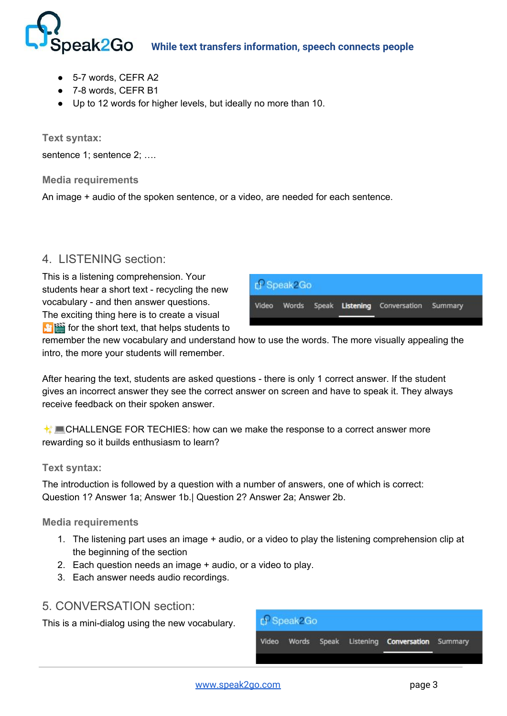# **Deak2GO** While text transfers information, speech connects people

- 5-7 words, CEFR A2
- 7-8 words, CEFR B1
- Up to 12 words for higher levels, but ideally no more than 10.

**Text syntax:**

sentence 1; sentence 2; ....

**Media requirements**

An image + audio of the spoken sentence, or a video, are needed for each sentence.

## 4. LISTENING section:

This is a listening comprehension. Your students hear a short text - recycling the new vocabulary - and then answer questions. The exciting thing here is to create a visual  $\mathbf{f}$   $\mathbf{f}$  is for the short text, that helps students to



remember the new vocabulary and understand how to use the words. The more visually appealing the intro, the more your students will remember.

After hearing the text, students are asked questions - there is only 1 correct answer. If the student gives an incorrect answer they see the correct answer on screen and have to speak it. They always receive feedback on their spoken answer.

 $\bigstar$  LGHALLENGE FOR TECHIES: how can we make the response to a correct answer more rewarding so it builds enthusiasm to learn?

#### **Text syntax:**

The introduction is followed by a question with a number of answers, one of which is correct: Question 1? Answer 1a; Answer 1b.| Question 2? Answer 2a; Answer 2b.

#### **Media requirements**

- 1. The listening part uses an image + audio, or a video to play the listening comprehension clip at the beginning of the section
- 2. Each question needs an image + audio, or a video to play.
- 3. Each answer needs audio recordings.

#### 5. CONVERSATION section:

This is a mini-dialog using the new vocabulary.

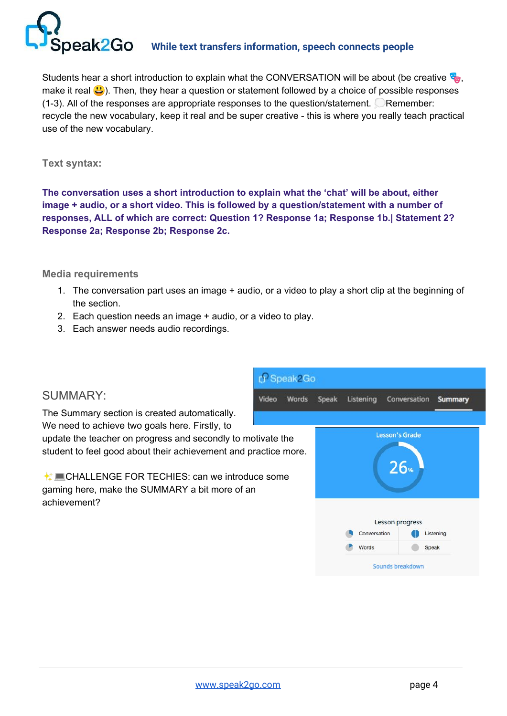

## **Deak2GO** While text transfers information, speech connects people

Students hear a short introduction to explain what the CONVERSATION will be about (be creative  $\mathbb{Q}$ , make it real  $\bigcirc$ ). Then, they hear a question or statement followed by a choice of possible responses  $(1-3)$ . All of the responses are appropriate responses to the question/statement. Remember: recycle the new vocabulary, keep it real and be super creative - this is where you really teach practical use of the new vocabulary.

#### **Text syntax:**

**The conversation uses a short introduction to explain what the 'chat' will be about, either image + audio, or a short video. This is followed by a question/statement with a number of responses, ALL of which are correct: Question 1? Response 1a; Response 1b.| Statement 2? Response 2a; Response 2b; Response 2c.**

#### **Media requirements**

1. The conversation part uses an image + audio, or a video to play a short clip at the beginning of the section.

Video

- 2. Each question needs an image + audio, or a video to play.
- 3. Each answer needs audio recordings.

#### SUMMARY:

The Summary section is created automatically. We need to achieve two goals here. Firstly, to update the teacher on progress and secondly to motivate the student to feel good about their achievement and practice more.

✨CHALLENGE FOR TECHIES: can we introduce some gaming here, make the SUMMARY a bit more of an achievement?